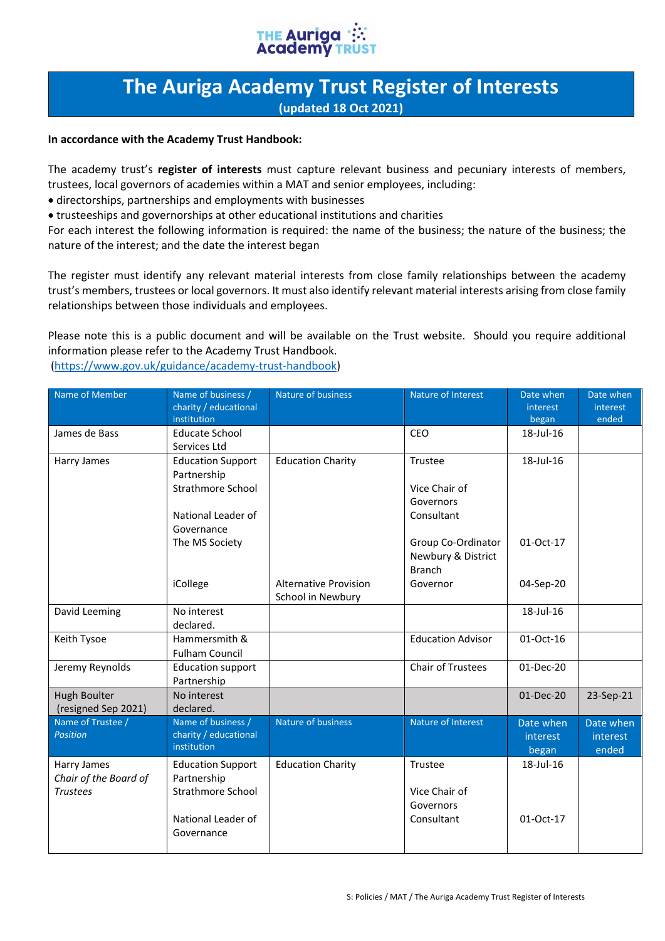

## **The Auriga Academy Trust Register of Interests (updated 18 Oct 2021)**

## **In accordance with the Academy Trust Handbook:**

The academy trust's **register of interests** must capture relevant business and pecuniary interests of members, trustees, local governors of academies within a MAT and senior employees, including:

• directorships, partnerships and employments with businesses

• trusteeships and governorships at other educational institutions and charities

For each interest the following information is required: the name of the business; the nature of the business; the nature of the interest; and the date the interest began

The register must identify any relevant material interests from close family relationships between the academy trust's members, trustees or local governors. It must also identify relevant material interests arising from close family relationships between those individuals and employees.

Please note this is a public document and will be available on the Trust website. Should you require additional information please refer to the Academy Trust Handbook. (https://www.gov.uk/guidance/academy-trust-handbook)

| Name of Member                                          | Name of business /<br>charity / educational<br>institution                                              | Nature of business           | Nature of Interest                                                    | Date when<br>interest<br>began | Date when<br>interest<br>ended |
|---------------------------------------------------------|---------------------------------------------------------------------------------------------------------|------------------------------|-----------------------------------------------------------------------|--------------------------------|--------------------------------|
| James de Bass                                           | <b>Educate School</b><br>Services Ltd                                                                   |                              | CEO                                                                   | 18-Jul-16                      |                                |
| Harry James                                             | <b>Education Support</b><br>Partnership<br><b>Strathmore School</b><br>National Leader of               | <b>Education Charity</b>     | Trustee<br>Vice Chair of<br>Governors<br>Consultant                   | 18-Jul-16                      |                                |
|                                                         | Governance<br>The MS Society<br>iCollege                                                                | <b>Alternative Provision</b> | Group Co-Ordinator<br>Newbury & District<br><b>Branch</b><br>Governor | 01-Oct-17<br>04-Sep-20         |                                |
| David Leeming                                           | No interest<br>declared.                                                                                | School in Newbury            |                                                                       | 18-Jul-16                      |                                |
| Keith Tysoe                                             | Hammersmith &<br><b>Fulham Council</b>                                                                  |                              | <b>Education Advisor</b>                                              | 01-Oct-16                      |                                |
| Jeremy Reynolds                                         | <b>Education support</b><br>Partnership                                                                 |                              | <b>Chair of Trustees</b>                                              | $01-Dec-20$                    |                                |
| <b>Hugh Boulter</b><br>(resigned Sep 2021)              | No interest<br>declared.                                                                                |                              |                                                                       | $01-Dec-20$                    | 23-Sep-21                      |
| Name of Trustee /<br><b>Position</b>                    | Name of business /<br>charity / educational<br>institution                                              | Nature of business           | Nature of Interest                                                    | Date when<br>interest<br>began | Date when<br>interest<br>ended |
| Harry James<br>Chair of the Board of<br><b>Trustees</b> | <b>Education Support</b><br>Partnership<br><b>Strathmore School</b><br>National Leader of<br>Governance | <b>Education Charity</b>     | Trustee<br>Vice Chair of<br>Governors<br>Consultant                   | 18-Jul-16<br>01-Oct-17         |                                |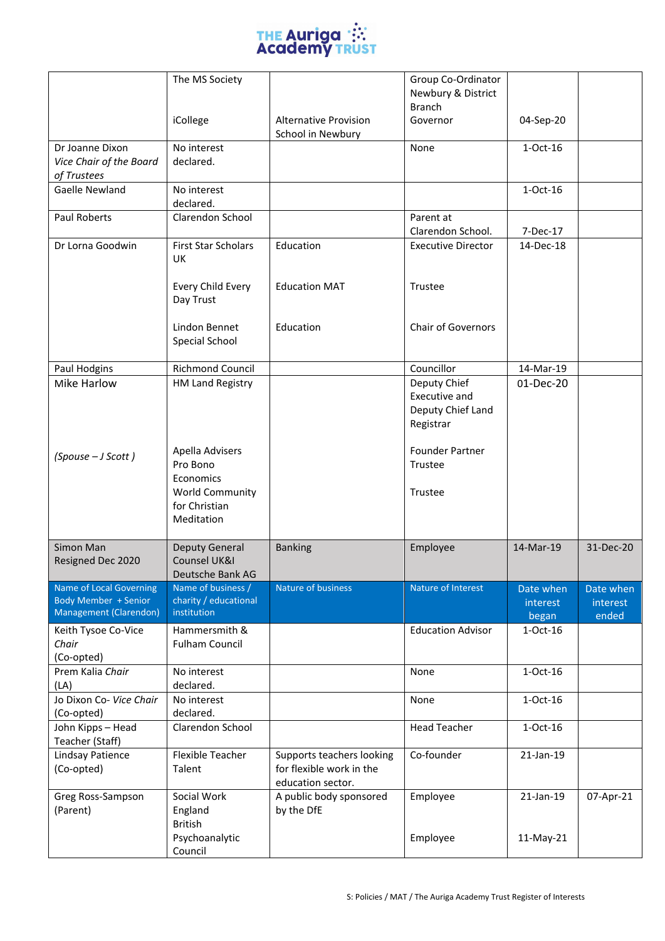

|                                                           | The MS Society<br>iCollege                                | <b>Alternative Provision</b><br>School in Newbury                          | Group Co-Ordinator<br>Newbury & District<br><b>Branch</b><br>Governor | 04-Sep-20  |           |
|-----------------------------------------------------------|-----------------------------------------------------------|----------------------------------------------------------------------------|-----------------------------------------------------------------------|------------|-----------|
| Dr Joanne Dixon<br>Vice Chair of the Board<br>of Trustees | No interest<br>declared.                                  |                                                                            | None                                                                  | 1-Oct-16   |           |
| Gaelle Newland                                            | No interest<br>declared.                                  |                                                                            |                                                                       | $1-Oct-16$ |           |
| Paul Roberts                                              | Clarendon School                                          |                                                                            | Parent at<br>Clarendon School.                                        | 7-Dec-17   |           |
| Dr Lorna Goodwin                                          | <b>First Star Scholars</b><br><b>UK</b>                   | Education                                                                  | <b>Executive Director</b>                                             | 14-Dec-18  |           |
|                                                           | Every Child Every<br>Day Trust                            | <b>Education MAT</b>                                                       | Trustee                                                               |            |           |
|                                                           | Lindon Bennet<br>Special School                           | Education                                                                  | <b>Chair of Governors</b>                                             |            |           |
| Paul Hodgins                                              | Richmond Council                                          |                                                                            | Councillor                                                            | 14-Mar-19  |           |
| Mike Harlow                                               | <b>HM Land Registry</b>                                   |                                                                            | Deputy Chief<br>Executive and<br>Deputy Chief Land<br>Registrar       | 01-Dec-20  |           |
| (Spouse - J Scott)                                        | Apella Advisers<br>Pro Bono<br>Economics                  |                                                                            | <b>Founder Partner</b><br>Trustee                                     |            |           |
|                                                           | <b>World Community</b><br>for Christian<br>Meditation     |                                                                            | Trustee                                                               |            |           |
| Simon Man<br>Resigned Dec 2020                            | <b>Deputy General</b><br>Counsel UK&I<br>Deutsche Bank AG | <b>Banking</b>                                                             | Employee                                                              | 14-Mar-19  | 31-Dec-20 |
| Name of Local Governing                                   | Name of business /                                        | Nature of business                                                         | Nature of Interest                                                    | Date when  | Date when |
| Body Member + Senior                                      | charity / educational<br>institution                      |                                                                            |                                                                       | interest   | interest  |
| Management (Clarendon)                                    |                                                           |                                                                            |                                                                       | began      | ended     |
| Keith Tysoe Co-Vice<br>Chair<br>(Co-opted)                | Hammersmith &<br><b>Fulham Council</b>                    |                                                                            | <b>Education Advisor</b>                                              | 1-Oct-16   |           |
| Prem Kalia Chair<br>(LA)                                  | No interest<br>declared.                                  |                                                                            | None                                                                  | 1-Oct-16   |           |
| Jo Dixon Co- Vice Chair<br>(Co-opted)                     | No interest<br>declared.                                  |                                                                            | None                                                                  | 1-Oct-16   |           |
| John Kipps - Head<br>Teacher (Staff)                      | Clarendon School                                          |                                                                            | <b>Head Teacher</b>                                                   | 1-Oct-16   |           |
| Lindsay Patience<br>(Co-opted)                            | <b>Flexible Teacher</b><br>Talent                         | Supports teachers looking<br>for flexible work in the<br>education sector. | Co-founder                                                            | 21-Jan-19  |           |
| Greg Ross-Sampson<br>(Parent)                             | Social Work<br>England<br><b>British</b>                  | A public body sponsored<br>by the DfE                                      | Employee                                                              | 21-Jan-19  | 07-Apr-21 |
|                                                           | Psychoanalytic<br>Council                                 |                                                                            | Employee                                                              | 11-May-21  |           |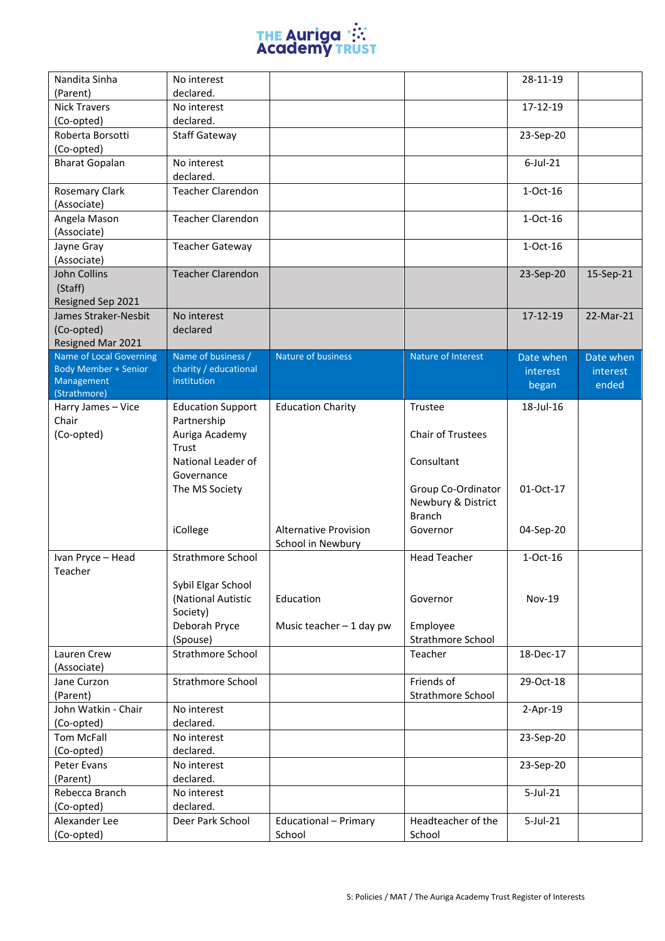

| Nandita Sinha               | No interest              |                                 |                              | 28-11-19      |           |
|-----------------------------|--------------------------|---------------------------------|------------------------------|---------------|-----------|
| (Parent)                    | declared.                |                                 |                              |               |           |
| <b>Nick Travers</b>         | No interest              |                                 |                              | 17-12-19      |           |
| (Co-opted)                  | declared.                |                                 |                              |               |           |
| Roberta Borsotti            | <b>Staff Gateway</b>     |                                 |                              | 23-Sep-20     |           |
| (Co-opted)                  |                          |                                 |                              |               |           |
| <b>Bharat Gopalan</b>       | No interest              |                                 |                              | $6$ -Jul-21   |           |
|                             | declared.                |                                 |                              |               |           |
| <b>Rosemary Clark</b>       | <b>Teacher Clarendon</b> |                                 |                              | $1-Oct-16$    |           |
| (Associate)                 |                          |                                 |                              |               |           |
| Angela Mason                | <b>Teacher Clarendon</b> |                                 |                              | $1-Oct-16$    |           |
| (Associate)                 |                          |                                 |                              |               |           |
| Jayne Gray                  | <b>Teacher Gateway</b>   |                                 |                              | 1-Oct-16      |           |
| (Associate)                 |                          |                                 |                              |               |           |
| John Collins                | <b>Teacher Clarendon</b> |                                 |                              | 23-Sep-20     | 15-Sep-21 |
| (Staff)                     |                          |                                 |                              |               |           |
| Resigned Sep 2021           |                          |                                 |                              |               |           |
| James Straker-Nesbit        | No interest              |                                 |                              | 17-12-19      | 22-Mar-21 |
| (Co-opted)                  | declared                 |                                 |                              |               |           |
| Resigned Mar 2021           |                          |                                 |                              |               |           |
| Name of Local Governing     | Name of business /       | Nature of business              | Nature of Interest           | Date when     | Date when |
| <b>Body Member + Senior</b> | charity / educational    |                                 |                              | interest      | interest  |
| Management                  | institution              |                                 |                              | began         | ended     |
| (Strathmore)                |                          |                                 |                              |               |           |
| Harry James - Vice          | <b>Education Support</b> | <b>Education Charity</b>        | Trustee                      | 18-Jul-16     |           |
| Chair                       | Partnership              |                                 |                              |               |           |
| (Co-opted)                  | Auriga Academy           |                                 | Chair of Trustees            |               |           |
|                             | Trust                    |                                 |                              |               |           |
|                             | National Leader of       |                                 | Consultant                   |               |           |
|                             | Governance               |                                 |                              |               |           |
|                             | The MS Society           |                                 | Group Co-Ordinator           | 01-Oct-17     |           |
|                             |                          |                                 | Newbury & District           |               |           |
|                             |                          |                                 | <b>Branch</b>                |               |           |
|                             | iCollege                 | <b>Alternative Provision</b>    | Governor                     | 04-Sep-20     |           |
|                             |                          | School in Newbury               |                              |               |           |
| Ivan Pryce - Head           | Strathmore School        |                                 | <b>Head Teacher</b>          | 1-Oct-16      |           |
| Teacher                     |                          |                                 |                              |               |           |
|                             | Sybil Elgar School       |                                 |                              |               |           |
|                             | (National Autistic       | Education                       | Governor                     | <b>Nov-19</b> |           |
|                             | Society)                 |                                 |                              |               |           |
|                             | Deborah Pryce            | Music teacher - 1 day pw        | Employee                     |               |           |
|                             | (Spouse)                 |                                 | Strathmore School            |               |           |
| Lauren Crew                 | Strathmore School        |                                 | Teacher                      | 18-Dec-17     |           |
| (Associate)                 |                          |                                 |                              |               |           |
| Jane Curzon                 | <b>Strathmore School</b> |                                 | Friends of                   | 29-Oct-18     |           |
| (Parent)                    |                          |                                 | Strathmore School            |               |           |
| John Watkin - Chair         | No interest              |                                 |                              | $2-Apr-19$    |           |
| (Co-opted)                  | declared.                |                                 |                              |               |           |
| Tom McFall                  | No interest              |                                 |                              | 23-Sep-20     |           |
| (Co-opted)                  | declared.                |                                 |                              |               |           |
| Peter Evans                 | No interest              |                                 |                              | 23-Sep-20     |           |
| (Parent)                    | declared.                |                                 |                              |               |           |
| Rebecca Branch              |                          |                                 |                              |               |           |
|                             | No interest              |                                 |                              | $5$ -Jul-21   |           |
| (Co-opted)                  | declared.                |                                 |                              |               |           |
| Alexander Lee<br>(Co-opted) | Deer Park School         | Educational - Primary<br>School | Headteacher of the<br>School | $5$ -Jul-21   |           |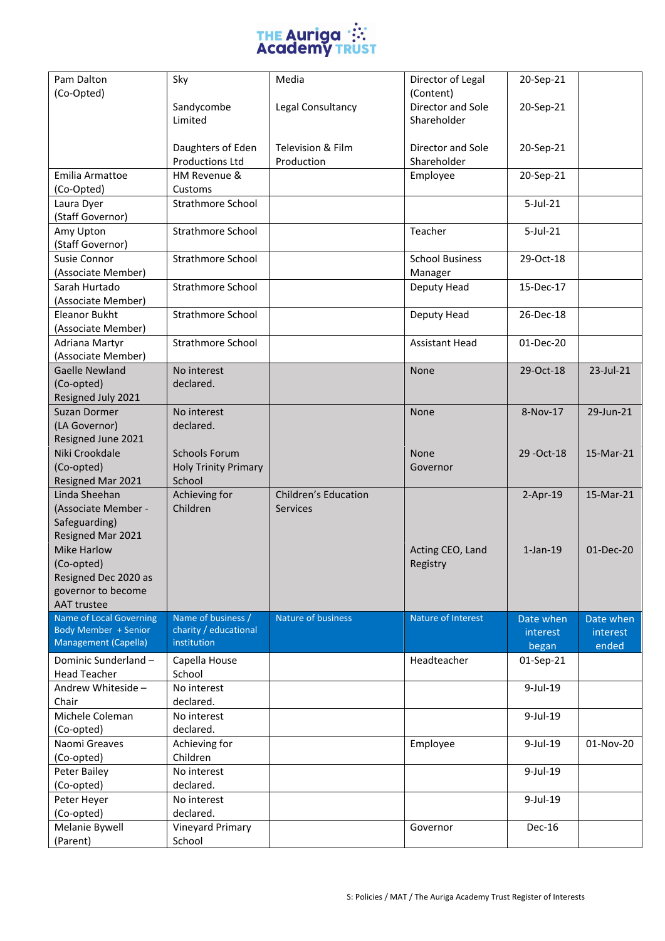

| Pam Dalton                                          | Sky                                  | Media                       | Director of Legal      | 20-Sep-21      |           |
|-----------------------------------------------------|--------------------------------------|-----------------------------|------------------------|----------------|-----------|
| (Co-Opted)                                          |                                      |                             | (Content)              |                |           |
|                                                     | Sandycombe                           | Legal Consultancy           | Director and Sole      | 20-Sep-21      |           |
|                                                     | Limited                              |                             | Shareholder            |                |           |
|                                                     | Daughters of Eden                    | Television & Film           | Director and Sole      | 20-Sep-21      |           |
|                                                     | <b>Productions Ltd</b>               | Production                  | Shareholder            |                |           |
| Emilia Armattoe                                     | HM Revenue &                         |                             | Employee               | 20-Sep-21      |           |
| (Co-Opted)                                          | Customs                              |                             |                        |                |           |
| Laura Dyer                                          | <b>Strathmore School</b>             |                             |                        | $5$ -Jul-21    |           |
| (Staff Governor)                                    |                                      |                             |                        |                |           |
| Amy Upton                                           | <b>Strathmore School</b>             |                             | Teacher                | 5-Jul-21       |           |
| (Staff Governor)                                    |                                      |                             |                        |                |           |
| Susie Connor                                        | <b>Strathmore School</b>             |                             | <b>School Business</b> | 29-Oct-18      |           |
| (Associate Member)                                  |                                      |                             | Manager                |                |           |
| Sarah Hurtado                                       | Strathmore School                    |                             | Deputy Head            | 15-Dec-17      |           |
| (Associate Member)<br><b>Eleanor Bukht</b>          |                                      |                             |                        |                |           |
| (Associate Member)                                  | <b>Strathmore School</b>             |                             | Deputy Head            | 26-Dec-18      |           |
| Adriana Martyr                                      | <b>Strathmore School</b>             |                             | <b>Assistant Head</b>  | 01-Dec-20      |           |
| (Associate Member)                                  |                                      |                             |                        |                |           |
| <b>Gaelle Newland</b>                               | No interest                          |                             | None                   | 29-Oct-18      | 23-Jul-21 |
| (Co-opted)                                          | declared.                            |                             |                        |                |           |
| Resigned July 2021                                  |                                      |                             |                        |                |           |
| <b>Suzan Dormer</b>                                 | No interest                          |                             | None                   | 8-Nov-17       | 29-Jun-21 |
| (LA Governor)                                       | declared.                            |                             |                        |                |           |
| Resigned June 2021                                  |                                      |                             |                        |                |           |
| Niki Crookdale                                      | <b>Schools Forum</b>                 |                             | None                   | 29 - Oct-18    | 15-Mar-21 |
| (Co-opted)                                          | <b>Holy Trinity Primary</b>          |                             | Governor               |                |           |
| Resigned Mar 2021                                   | School                               |                             |                        |                |           |
| Linda Sheehan                                       | Achieving for                        | <b>Children's Education</b> |                        | $2-Apr-19$     | 15-Mar-21 |
| (Associate Member -<br>Safeguarding)                | Children                             | <b>Services</b>             |                        |                |           |
| Resigned Mar 2021                                   |                                      |                             |                        |                |           |
| <b>Mike Harlow</b>                                  |                                      |                             | Acting CEO, Land       | $1$ -Jan- $19$ | 01-Dec-20 |
| (Co-opted)                                          |                                      |                             | Registry               |                |           |
| Resigned Dec 2020 as                                |                                      |                             |                        |                |           |
| governor to become                                  |                                      |                             |                        |                |           |
| <b>AAT trustee</b>                                  |                                      |                             |                        |                |           |
| <b>Name of Local Governing</b>                      | Name of business /                   | Nature of business          | Nature of Interest     | Date when      | Date when |
| Body Member + Senior<br><b>Management (Capella)</b> | charity / educational<br>institution |                             |                        | interest       | interest  |
|                                                     |                                      |                             |                        | began          | ended     |
| Dominic Sunderland -                                | Capella House                        |                             | Headteacher            | 01-Sep-21      |           |
| <b>Head Teacher</b><br>Andrew Whiteside -           | School<br>No interest                |                             |                        | $9$ -Jul-19    |           |
| Chair                                               | declared.                            |                             |                        |                |           |
| Michele Coleman                                     | No interest                          |                             |                        | $9$ -Jul-19    |           |
| (Co-opted)                                          | declared.                            |                             |                        |                |           |
| Naomi Greaves                                       | Achieving for                        |                             | Employee               | 9-Jul-19       | 01-Nov-20 |
| (Co-opted)                                          | Children                             |                             |                        |                |           |
| Peter Bailey                                        | No interest                          |                             |                        | 9-Jul-19       |           |
| (Co-opted)                                          | declared.                            |                             |                        |                |           |
| Peter Heyer                                         | No interest                          |                             |                        | $9$ -Jul-19    |           |
| (Co-opted)                                          | declared.                            |                             |                        |                |           |
| Melanie Bywell                                      | Vineyard Primary                     |                             | Governor               | Dec-16         |           |
| (Parent)                                            | School                               |                             |                        |                |           |